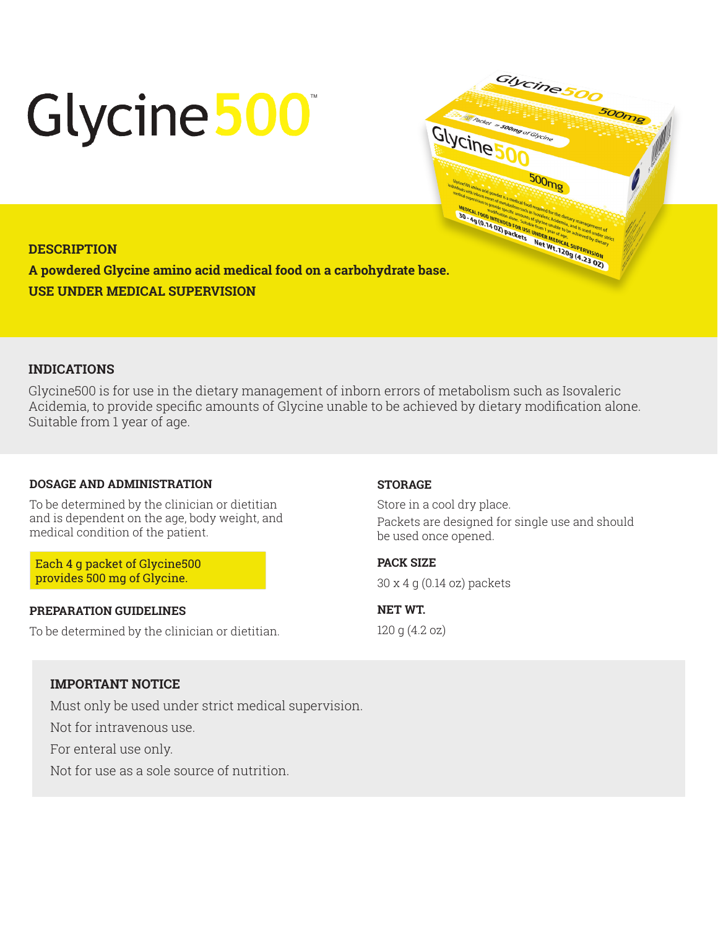# Glycine 500



# **DESCRIPTION**

**A powdered Glycine amino acid medical food on a carbohydrate base. USE UNDER MEDICAL SUPERVISION**

## **INDICATIONS**

Glycine500 is for use in the dietary management of inborn errors of metabolism such as Isovaleric Acidemia, to provide specific amounts of Glycine unable to be achieved by dietary modification alone. Suitable from 1 year of age.

## **DOSAGE AND ADMINISTRATION**

To be determined by the clinician or dietitian and is dependent on the age, body weight, and medical condition of the patient.

Each 4 g packet of Glycine500 provides 500 mg of Glycine.

#### **PREPARATION GUIDELINES**

To be determined by the clinician or dietitian.

#### **STORAGE**

Store in a cool dry place. Packets are designed for single use and should be used once opened.

**PACK SIZE**  30 x 4 g (0.14 oz) packets

**NET WT.**  120 g (4.2 oz)

# **IMPORTANT NOTICE**

Must only be used under strict medical supervision.

Not for intravenous use.

For enteral use only.

Not for use as a sole source of nutrition.